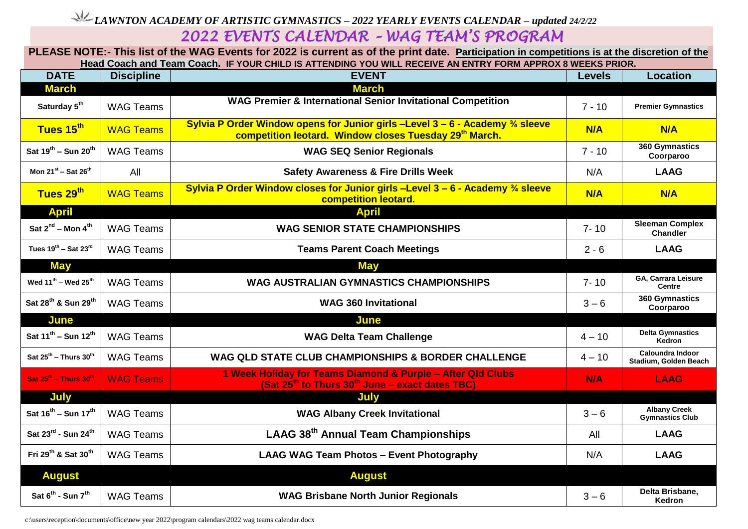## *LAWNTON ACADEMY OF ARTISTIC GYMNASTICS – 2022 YEARLY EVENTS CALENDAR – updated 24/2/22*

## **PLEASE NOTE:- This list of the WAG Events for 2022 is current as of the print date. Participation in competitions is at the discretion of the Head Coach and Team Coach. IF YOUR CHILD IS ATTENDING YOU WILL RECEIVE AN ENTRY FORM APPROX 8 WEEKS PRIOR.**

| <b>DATE</b>                                 | <b>Discipline</b> | <b>EVENT</b>                                                                                                                                                     | <b>Levels</b> | <b>Location</b>                               |
|---------------------------------------------|-------------------|------------------------------------------------------------------------------------------------------------------------------------------------------------------|---------------|-----------------------------------------------|
| <b>March</b>                                |                   | <b>March</b>                                                                                                                                                     |               |                                               |
| Saturday 5 <sup>th</sup>                    | <b>WAG Teams</b>  | <b>WAG Premier &amp; International Senior Invitational Competition</b>                                                                                           | $7 - 10$      | <b>Premier Gymnastics</b>                     |
| Tues 15th                                   | <b>WAG Teams</b>  | Sylvia P Order Window opens for Junior girls -Level $3 - 6$ - Academy $\frac{3}{4}$ sleeve<br>competition leotard. Window closes Tuesday 29 <sup>th</sup> March. | N/A           | N/A                                           |
| Sat 19 <sup>th</sup> - Sun 20 <sup>th</sup> | <b>WAG Teams</b>  | <b>WAG SEQ Senior Regionals</b>                                                                                                                                  | $7 - 10$      | 360 Gymnastics<br>Coorparoo                   |
| Mon $21^{st}$ – Sat $26^{th}$               | All               | <b>Safety Awareness &amp; Fire Drills Week</b>                                                                                                                   | N/A           | <b>LAAG</b>                                   |
| Tues 29 <sup>th</sup>                       | <b>WAG Teams</b>  | Sylvia P Order Window closes for Junior girls -Level $3 - 6$ - Academy $\frac{3}{4}$ sleeve<br>competition leotard.                                              | N/A           | N/A                                           |
| <b>April</b>                                |                   | <b>April</b>                                                                                                                                                     |               |                                               |
| Sat $2^{nd}$ – Mon $4^{th}$                 | <b>WAG Teams</b>  | <b>WAG SENIOR STATE CHAMPIONSHIPS</b>                                                                                                                            | $7 - 10$      | <b>Sleeman Complex</b><br><b>Chandler</b>     |
| Tues $19^{th}$ – Sat 23 <sup>rd</sup>       | <b>WAG Teams</b>  | <b>Teams Parent Coach Meetings</b>                                                                                                                               | $2 - 6$       | <b>LAAG</b>                                   |
| <b>May</b>                                  |                   | <b>May</b>                                                                                                                                                       |               |                                               |
| Wed 11 <sup>th</sup> - Wed 25 <sup>th</sup> | <b>WAG Teams</b>  | <b>WAG AUSTRALIAN GYMNASTICS CHAMPIONSHIPS</b>                                                                                                                   | $7 - 10$      | GA, Carrara Leisure<br><b>Centre</b>          |
| Sat 28 <sup>th</sup> & Sun 29 <sup>th</sup> | <b>WAG Teams</b>  | <b>WAG 360 Invitational</b>                                                                                                                                      | $3 - 6$       | 360 Gymnastics<br>Coorparoo                   |
| June                                        |                   | June                                                                                                                                                             |               |                                               |
| Sat $11^{th}$ – Sun $12^{th}$               | <b>WAG Teams</b>  | <b>WAG Delta Team Challenge</b>                                                                                                                                  | $4 - 10$      | <b>Delta Gymnastics</b><br>Kedron             |
| Sat $25^{th}$ – Thurs $30^{th}$             | <b>WAG Teams</b>  | WAG QLD STATE CLUB CHAMPIONSHIPS & BORDER CHALLENGE                                                                                                              | $4 - 10$      | Caloundra Indoor<br>Stadium, Golden Beach     |
| Sat $25^{th}$ – Thurs $30^{th}$             | <b>WAG Teams</b>  | 1 Week Holiday for Teams Diamond & Purple - After Qld Clubs<br>(Sat 25 <sup>th</sup> to Thurs 30 <sup>th</sup> June - exact dates TBC)                           | <b>N/A</b>    | <b>LAAG</b>                                   |
| July                                        |                   | July                                                                                                                                                             |               |                                               |
| Sat $16^{th}$ – Sun $17^{th}$               | <b>WAG Teams</b>  | <b>WAG Albany Creek Invitational</b>                                                                                                                             | $3 - 6$       | <b>Albany Creek</b><br><b>Gymnastics Club</b> |
| Sat 23rd - Sun 24th                         | <b>WAG Teams</b>  | LAAG 38 <sup>th</sup> Annual Team Championships                                                                                                                  | All           | <b>LAAG</b>                                   |
| Fri 29 <sup>th</sup> & Sat 30 <sup>th</sup> | <b>WAG Teams</b>  | <b>LAAG WAG Team Photos - Event Photography</b>                                                                                                                  | N/A           | <b>LAAG</b>                                   |
| <b>August</b>                               |                   | <b>August</b>                                                                                                                                                    |               |                                               |
| Sat 6 <sup>th</sup> - Sun 7 <sup>th</sup>   | <b>WAG Teams</b>  | <b>WAG Brisbane North Junior Regionals</b>                                                                                                                       | $3 - 6$       | Delta Brisbane,<br>Kedron                     |

c:\users\reception\documents\office\new year 2022\program calendars\2022 wag teams calendar.docx